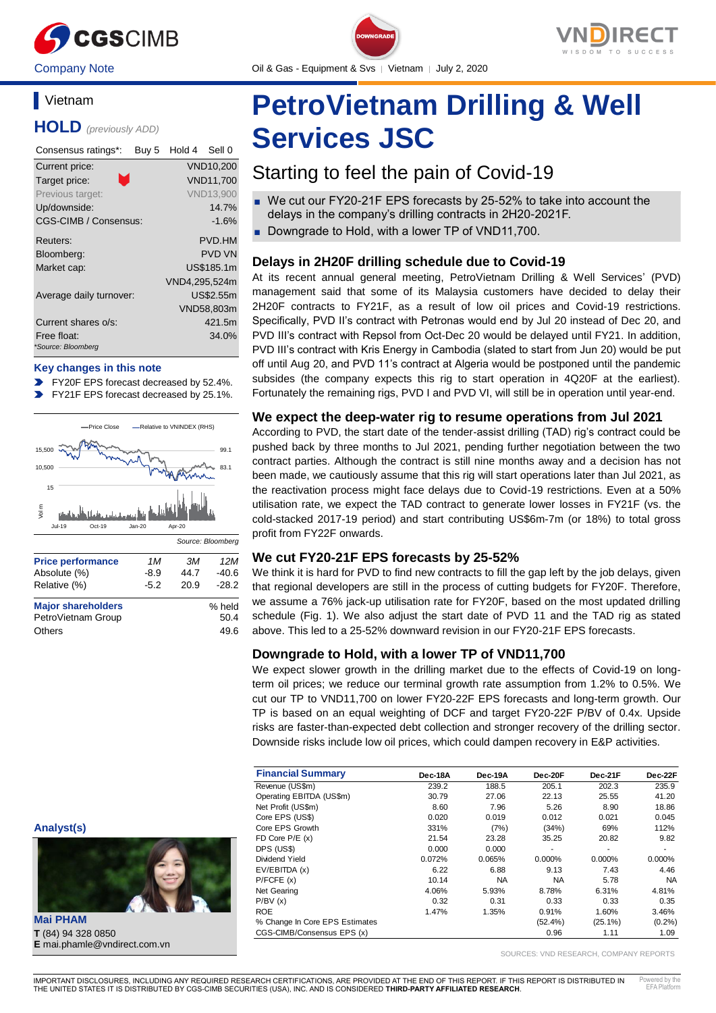

Company Note Company Oil & Gas - Equipment & Svs │ Vietnam │ July 2, 2020

# **Vietnam**

**HOLD** *(previously ADD)*

| Consensus ratings*:               | Buy 5 | Hold 4        | Sell 0           |
|-----------------------------------|-------|---------------|------------------|
| Current price:                    |       |               | VND10,200        |
| Target price:                     |       |               | <b>VND11.700</b> |
| Previous target:                  |       |               | <b>VND13,900</b> |
| Up/downside:                      |       |               | 14.7%            |
| CGS-CIMB / Consensus:             |       |               | $-1.6%$          |
| Reuters:                          |       |               | PVD.HM           |
| Bloomberg:                        |       |               | <b>PVD VN</b>    |
| Market cap:                       |       |               | US\$185.1m       |
|                                   |       | VND4,295,524m |                  |
| Average daily turnover:           |       |               | US\$2.55m        |
|                                   |       |               | VND58,803m       |
| Current shares o/s:               |       |               | 421.5m           |
| Free float:<br>*Source: Bloomberg |       |               | 34.0%            |

### **Key changes in this note**

- FY20F EPS forecast decreased by 52.4%.
- FY21F EPS forecast decreased by 25.1%.



| <b>MANUE SHARGHULUGIS</b> | 70 I IGIU |
|---------------------------|-----------|
| PetroVietnam Group        | 50.4      |
| Others                    | 49.6      |
|                           |           |

#### **Analyst(s)**



**Mai PHAM T** (84) 94 328 0850 **E** mai.phamle@vndirect.com.vn

# **PetroVietnam Drilling & Well Services JSC**

# Starting to feel the pain of Covid-19

- We cut our FY20-21F EPS forecasts by 25-52% to take into account the delays in the company's drilling contracts in 2H20-2021F.
- Downgrade to Hold, with a lower TP of VND11,700.

# **Delays in 2H20F drilling schedule due to Covid-19**

At its recent annual general meeting, PetroVietnam Drilling & Well Services' (PVD) management said that some of its Malaysia customers have decided to delay their 2H20F contracts to FY21F, as a result of low oil prices and Covid-19 restrictions. Specifically, PVD II's contract with Petronas would end by Jul 20 instead of Dec 20, and PVD III's contract with Repsol from Oct-Dec 20 would be delayed until FY21. In addition, PVD III's contract with Kris Energy in Cambodia (slated to start from Jun 20) would be put off until Aug 20, and PVD 11's contract at Algeria would be postponed until the pandemic subsides (the company expects this rig to start operation in 4Q20F at the earliest). Fortunately the remaining rigs, PVD I and PVD VI, will still be in operation until year-end.

## **We expect the deep-water rig to resume operations from Jul 2021**

According to PVD, the start date of the tender-assist drilling (TAD) rig's contract could be pushed back by three months to Jul 2021, pending further negotiation between the two contract parties. Although the contract is still nine months away and a decision has not been made, we cautiously assume that this rig will start operations later than Jul 2021, as the reactivation process might face delays due to Covid-19 restrictions. Even at a 50% utilisation rate, we expect the TAD contract to generate lower losses in FY21F (vs. the cold-stacked 2017-19 period) and start contributing US\$6m-7m (or 18%) to total gross profit from FY22F onwards.

# **We cut FY20-21F EPS forecasts by 25-52%**

We think it is hard for PVD to find new contracts to fill the gap left by the job delays, given that regional developers are still in the process of cutting budgets for FY20F. Therefore, we assume a 76% jack-up utilisation rate for FY20F, based on the most updated drilling schedule (Fig. 1). We also adjust the start date of PVD 11 and the TAD rig as stated above. This led to a 25-52% downward revision in our FY20-21F EPS forecasts.

# **Downgrade to Hold, with a lower TP of VND11,700**

We expect slower growth in the drilling market due to the effects of Covid-19 on longterm oil prices; we reduce our terminal growth rate assumption from 1.2% to 0.5%. We cut our TP to VND11,700 on lower FY20-22F EPS forecasts and long-term growth. Our TP is based on an equal weighting of DCF and target FY20-22F P/BV of 0.4x. Upside risks are faster-than-expected debt collection and stronger recovery of the drilling sector. Downside risks include low oil prices, which could dampen recovery in E&P activities.

| <b>Financial Summary</b>       | Dec-18A | Dec-19A   | Dec-20F    | Dec-21F    | Dec-22F   |
|--------------------------------|---------|-----------|------------|------------|-----------|
| Revenue (US\$m)                | 239.2   | 188.5     | 205.1      | 202.3      | 235.9     |
| Operating EBITDA (US\$m)       | 30.79   | 27.06     | 22.13      | 25.55      | 41.20     |
| Net Profit (US\$m)             | 8.60    | 7.96      | 5.26       | 8.90       | 18.86     |
| Core EPS (US\$)                | 0.020   | 0.019     | 0.012      | 0.021      | 0.045     |
| Core EPS Growth                | 331%    | (7%)      | (34%)      | 69%        | 112%      |
| FD Core $P/E(x)$               | 21.54   | 23.28     | 35.25      | 20.82      | 9.82      |
| DPS (US\$)                     | 0.000   | 0.000     | ۰          | ۰          | ۰         |
| Dividend Yield                 | 0.072%  | 0.065%    | 0.000%     | $0.000\%$  | 0.000%    |
| EV/EBITDA (x)                  | 6.22    | 6.88      | 9.13       | 7.43       | 4.46      |
| P/FCFE(x)                      | 10.14   | <b>NA</b> | <b>NA</b>  | 5.78       | <b>NA</b> |
| Net Gearing                    | 4.06%   | 5.93%     | 8.78%      | 6.31%      | 4.81%     |
| P/BV(x)                        | 0.32    | 0.31      | 0.33       | 0.33       | 0.35      |
| <b>ROE</b>                     | 1.47%   | 1.35%     | 0.91%      | 1.60%      | 3.46%     |
| % Change In Core EPS Estimates |         |           | $(52.4\%)$ | $(25.1\%)$ | $(0.2\%)$ |
| CGS-CIMB/Consensus EPS (x)     |         |           | 0.96       | 1.11       | 1.09      |

SOURCES: VND RESEARCH, COMPANY REPORTS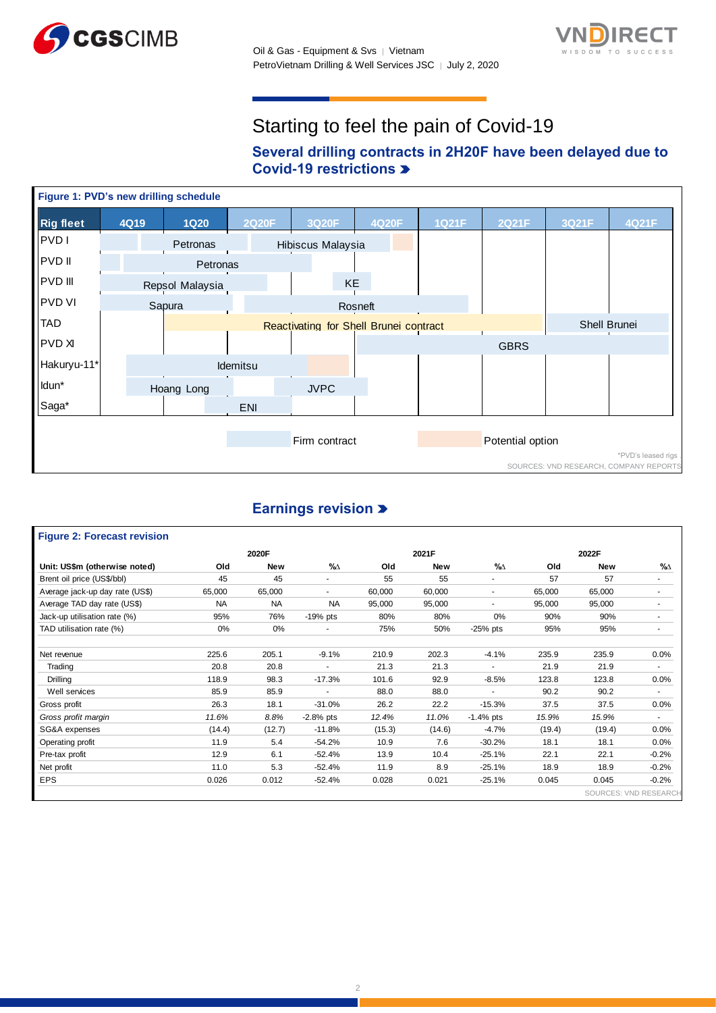



# Starting to feel the pain of Covid-19

# **Several drilling contracts in 2H20F have been delayed due to Covid-19 restrictions**



# **Earnings revision**

#### **Figure 2: Forecast revision** SOURCES: VND RESEARC **Old New %∆ Old New %∆ Old New %∆** Brent oil price (US\$/bbl) 45 45 45 - 55 55 - 57 57 57 Average jack-up day rate (US\$) 65,000 65,000 65,000 65,000 60,000 60,000 66,000 65,000 65,000 Average TAD day rate (US\$) **NA** NA NA 95,000 95,000 - 95,000 95,000 95,000 Jack-up utilisation rate (%) 95% 76% -19% pts 80% 80% 0% 90% 90% - TAD utilisation rate (%) 0% 0% 0% - 75% 50% -25% pts 95% 95% Net revenue 225.6 205.1 -9.1% 210.9 202.3 -4.1% 235.9 235.9 0.0% Trading 20.8 20.8 20.8 - 21.3 21.3 - 21.9 21.9 - Drilling 118.9 98.3 -17.3% 101.6 92.9 -8.5% 123.8 123.8 0.0% Well services and the set of the services and services and services and services and services and services and the services of the services and services and services and services and services and services and services and Gross profit 26.3 18.1 -31.0% 26.2 22.2 -15.3% 37.5 37.5 0.0% *Gross profit margin 11.6% 8.8%* -2.8% pts *12.4% 11.0%* -1.4% pts *15.9% 15.9%* - SG&A expenses (14.4) (12.7) -11.8% (15.3) (14.6) -4.7% (19.4) (19.4) 0.0% Operating profit 11.9 5.4 -54.2% 10.9 7.6 -30.2% 18.1 18.1 0.0% Pre-tax profit 12.9 6.1 -52.4% 13.9 10.4 -25.1% 22.1 22.1 -0.2% Net profit 11.0 5.3 -52.4% 11.9 8.9 -25.1% 18.9 18.9 -0.2% EPS 0.026 0.012 -52.4% 0.028 0.021 -25.1% 0.045 0.045 -0.2% **Unit: US\$m (otherwise noted) 2020F 2021F 2022F**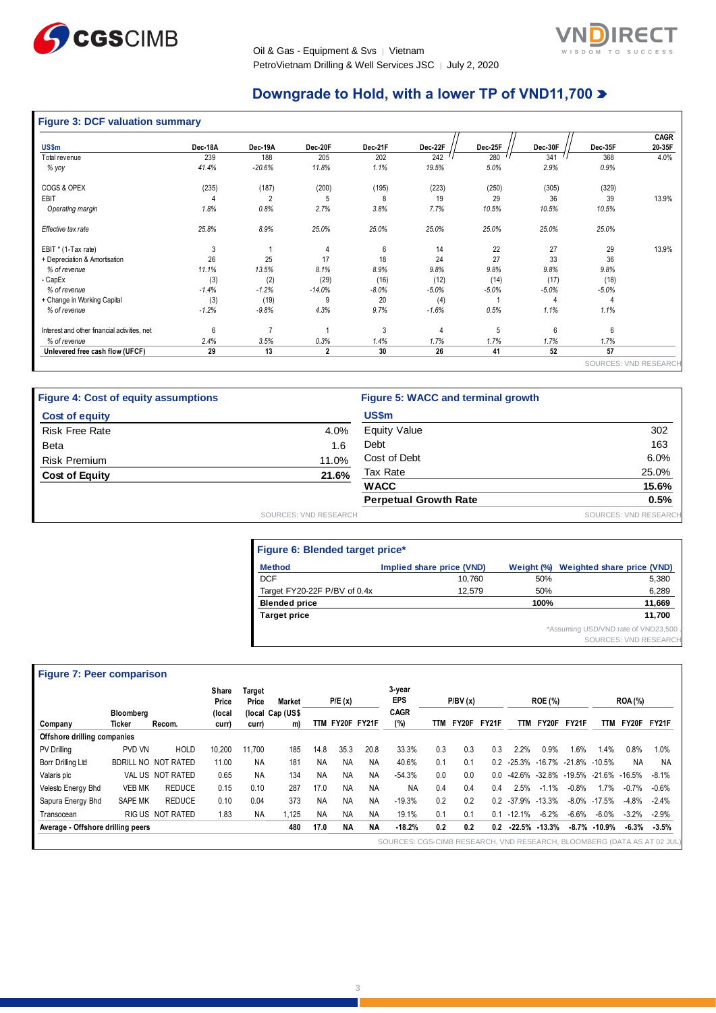

Oil & Gas - Equipment & Svs │ Vietnam PetroVietnam Drilling & Well Services JSC | July 2, 2020



# **Downgrade to Hold, with a lower TP of VND11,700**

|  |  |  |  |  | <b>Figure 3: DCF valuation summary</b> |
|--|--|--|--|--|----------------------------------------|
|--|--|--|--|--|----------------------------------------|

| US\$m                                        | Dec-18A | Dec-19A        | Dec-20F      | Dec-21F | Dec-22F | Dec-25F | Dec-30F | Dec-35F | <b>CAGR</b><br>20-35F |
|----------------------------------------------|---------|----------------|--------------|---------|---------|---------|---------|---------|-----------------------|
| Total revenue                                | 239     | 188            | 205          | 202     | 242     | 280     | 341     | 368     | 4.0%                  |
| % yoy                                        | 41.4%   | $-20.6%$       | 11.8%        | 1.1%    | 19.5%   | 5.0%    | 2.9%    | 0.9%    |                       |
| COGS & OPEX                                  | (235)   | (187)          | (200)        | (195)   | (223)   | (250)   | (305)   | (329)   |                       |
| <b>EBIT</b>                                  |         | $\overline{2}$ | 5            | 8       | 19      | 29      | 36      | 39      | 13.9%                 |
| Operating margin                             | 1.8%    | 0.8%           | 2.7%         | 3.8%    | 7.7%    | 10.5%   | 10.5%   | 10.5%   |                       |
| Effective tax rate                           | 25.8%   | 8.9%           | 25.0%        | 25.0%   | 25.0%   | 25.0%   | 25.0%   | 25.0%   |                       |
| EBIT * (1-Tax rate)                          | 3       |                |              | 6       | 14      | 22      | 27      | 29      | 13.9%                 |
| + Depreciation & Amortisation                | 26      | 25             | 17           | 18      | 24      | 27      | 33      | 36      |                       |
| % of revenue                                 | 11.1%   | 13.5%          | 8.1%         | 8.9%    | 9.8%    | 9.8%    | 9.8%    | 9.8%    |                       |
| - CapEx                                      | (3)     | (2)            | (29)         | (16)    | (12)    | (14)    | (17)    | (18)    |                       |
| % of revenue                                 | $-1.4%$ | $-1.2%$        | $-14.0%$     | $-8.0%$ | $-5.0%$ | $-5.0%$ | $-5.0%$ | $-5.0%$ |                       |
| + Change in Working Capital                  | (3)     | (19)           | 9            | 20      | (4)     |         | 4       | 4       |                       |
| % of revenue                                 | $-1.2%$ | $-9.8%$        | 4.3%         | 9.7%    | $-1.6%$ | 0.5%    | 1.1%    | 1.1%    |                       |
| Interest and other financial activities, net | 6       | 7              |              | 3       | 4       | 5       | 6       | 6       |                       |
| % of revenue                                 | 2.4%    | 3.5%           | 0.3%         | 1.4%    | 1.7%    | 1.7%    | 1.7%    | 1.7%    |                       |
| Unlevered free cash flow (UFCF)              | 29      | 13             | $\mathbf{2}$ | 30      | 26      | 41      | 52      | 57      |                       |

| <b>Figure 4: Cost of equity assumptions</b> |                       | Figure 5: WACC and terminal growth |                              |
|---------------------------------------------|-----------------------|------------------------------------|------------------------------|
| <b>Cost of equity</b>                       |                       | <b>US\$m</b>                       |                              |
| <b>Risk Free Rate</b>                       | 4.0%                  | <b>Equity Value</b>                | 302                          |
| <b>Beta</b>                                 | 1.6                   | Debt                               | 163                          |
| <b>Risk Premium</b>                         | 11.0%                 | Cost of Debt                       | 6.0%                         |
| <b>Cost of Equity</b>                       | 21.6%                 | Tax Rate                           | 25.0%                        |
|                                             |                       | <b>WACC</b>                        | 15.6%                        |
|                                             |                       | <b>Perpetual Growth Rate</b>       | 0.5%                         |
|                                             | SOURCES: VND RESEARCH |                                    | <b>SOURCES: VND RESEARCH</b> |

| Figure 6: Blended target price* |                           |            |                                      |
|---------------------------------|---------------------------|------------|--------------------------------------|
| <b>Method</b>                   | Implied share price (VND) | Weight (%) | <b>Weighted share price (VND)</b>    |
| <b>DCF</b>                      | 10.760                    | 50%        | 5,380                                |
| Target FY20-22F P/BV of 0.4x    | 12,579                    | 50%        | 6,289                                |
| <b>Blended price</b>            |                           | 100%       | 11,669                               |
| <b>Target price</b>             |                           |            | 11.700                               |
|                                 |                           |            | *Assuming USD/VND rate of VND23,500. |
|                                 |                           |            | SOURCES: VND RESEARCH                |

# **Figure 7: Peer comparison**

|                                   |                            | Share<br>Price   | Target<br>Price | Market    |                        | P/E(x)    |           | 3-year<br><b>EPS</b><br><b>CAGR</b> |           | P/BV(x) |       |              | <b>ROE (%)</b> |                   |         | <b>ROA (%)</b>    |           |         |
|-----------------------------------|----------------------------|------------------|-----------------|-----------|------------------------|-----------|-----------|-------------------------------------|-----------|---------|-------|--------------|----------------|-------------------|---------|-------------------|-----------|---------|
| Company                           | <b>Bloomberg</b><br>Ticker | Recom.           | (local<br>curr) | curr)     | (local Cap (US\$<br>m) | TTM       |           | FY20F FY21F                         | (%)       | TТM     | FY20F | <b>FY21F</b> | <b>TTM</b>     | FY20F             | FY21F   | TTM               | FY20F     | FY21F   |
| Offshore drilling companies       |                            |                  |                 |           |                        |           |           |                                     |           |         |       |              |                |                   |         |                   |           |         |
| <b>PV Drilling</b>                | PVD VN                     | <b>HOLD</b>      | 10.200          | 11.700    | 185                    | 14.8      | 35.3      | 20.8                                | 33.3%     | 0.3     | 0.3   | 0.3          | 2.2%           | 0.9%              | 1.6%    | 1.4%              | 0.8%      | 1.0%    |
| Borr Drilling Ltd                 | <b>BDRILL NO</b>           | NOT RATED        | 11.00           | <b>NA</b> | 181                    | <b>NA</b> | <b>NA</b> | <b>NA</b>                           | 40.6%     | 0.1     | 0.1   | 0.2          | $-25.3%$       | -16.7% -21.8%     |         | $-10.5%$          | <b>NA</b> | NA      |
| Valaris plc                       |                            | VAL US NOT RATED | 0.65            | <b>NA</b> | 134                    | <b>NA</b> | <b>NA</b> | <b>NA</b>                           | $-54.3%$  | 0.0     | 0.0   | 0.0          | -42.6%         | $-32.8\% -19.5\%$ |         | $-21.6\% -16.5\%$ |           | $-8.1%$ |
| Velesto Energy Bhd                | <b>VEB MK</b>              | <b>REDUCE</b>    | 0.15            | 0.10      | 287                    | 17.0      | <b>NA</b> | <b>NA</b>                           | <b>NA</b> | 0.4     | 0.4   | 0.4          | 2.5%           | $1.1\%$<br>-1     | $-0.8%$ | l.7%              | $-0.7%$   | $-0.6%$ |
| Sapura Energy Bhd                 | <b>SAPE MK</b>             | <b>REDUCE</b>    | 0.10            | 0.04      | 373                    | <b>NA</b> | <b>NA</b> | <b>NA</b>                           | $-19.3%$  | 0.2     | 0.2   | 02           | $-37.9%$       | $-13.3%$          | $-8.0%$ | $-17.5%$          | $-4.8%$   | $-2.4%$ |
| Transocean                        |                            | RIGUS NOT RATED  | 1.83            | <b>NA</b> | 1.125                  | <b>NA</b> | <b>NA</b> | ΝA                                  | 19.1%     | 0.1     | 0.1   | 0.1          | $-12.1%$       | $-6.2%$           | $-6.6%$ | $-6.0\%$          | $-3.2%$   | $-2.9%$ |
| Average - Offshore drilling peers |                            |                  |                 |           | 480                    | 17.0      | ΝA        | ΝA                                  | $-18.2%$  | 0.2     | 0.2   | 0.2          |                | $-22.5\% -13.3\%$ |         | $-8.7\% -10.9\%$  | $-6.3%$   | $-3.5%$ |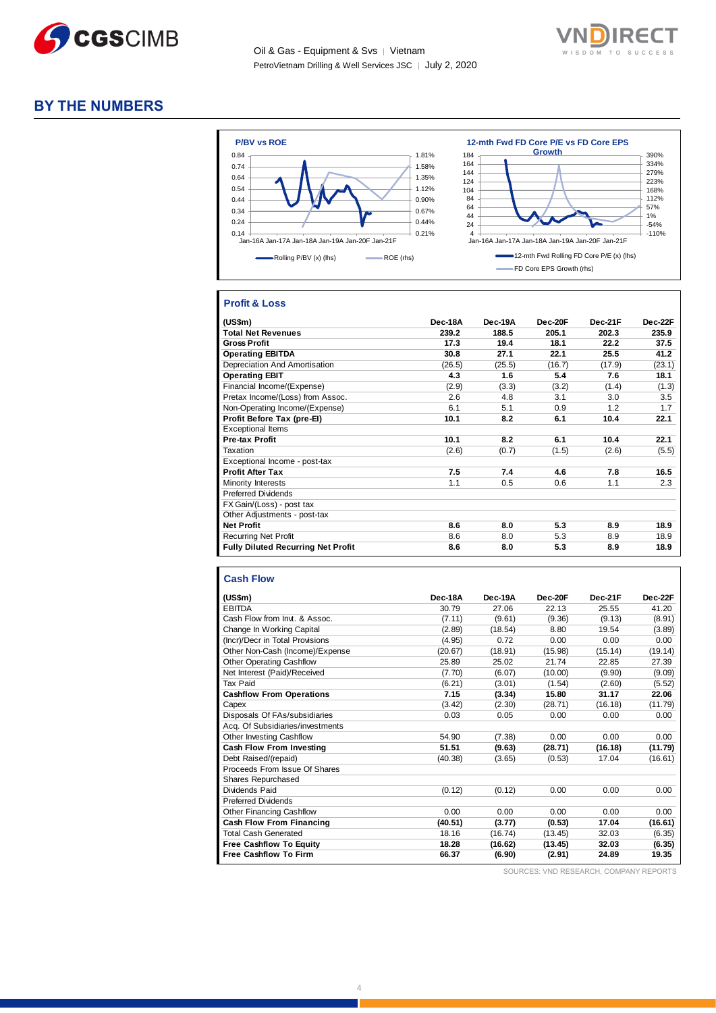

Oil & Gas - Equipment & Svs │ Vietnam PetroVietnam Drilling & Well Services JSC │ July 2, 2020



# **BY THE NUMBERS**



## **Profit & Loss**

| (US\$m)                                   | Dec-18A | Dec-19A | Dec-20F | Dec-21F | Dec-22F |
|-------------------------------------------|---------|---------|---------|---------|---------|
| <b>Total Net Revenues</b>                 | 239.2   | 188.5   | 205.1   | 202.3   | 235.9   |
| <b>Gross Profit</b>                       | 17.3    | 19.4    | 18.1    | 22.2    | 37.5    |
| <b>Operating EBITDA</b>                   | 30.8    | 27.1    | 22.1    | 25.5    | 41.2    |
| Depreciation And Amortisation             | (26.5)  | (25.5)  | (16.7)  | (17.9)  | (23.1)  |
| <b>Operating EBIT</b>                     | 4.3     | 1.6     | 5.4     | 7.6     | 18.1    |
| Financial Income/(Expense)                | (2.9)   | (3.3)   | (3.2)   | (1.4)   | (1.3)   |
| Pretax Income/(Loss) from Assoc.          | 2.6     | 4.8     | 3.1     | 3.0     | 3.5     |
| Non-Operating Income/(Expense)            | 6.1     | 5.1     | 0.9     | 1.2     | 1.7     |
| Profit Before Tax (pre-El)                | 10.1    | 8.2     | 6.1     | 10.4    | 22.1    |
| <b>Exceptional Items</b>                  |         |         |         |         |         |
| Pre-tax Profit                            | 10.1    | 8.2     | 6.1     | 10.4    | 22.1    |
| Taxation                                  | (2.6)   | (0.7)   | (1.5)   | (2.6)   | (5.5)   |
| Exceptional Income - post-tax             |         |         |         |         |         |
| <b>Profit After Tax</b>                   | 7.5     | 7.4     | 4.6     | 7.8     | 16.5    |
| Minority Interests                        | 1.1     | 0.5     | 0.6     | 1.1     | 2.3     |
| <b>Preferred Dividends</b>                |         |         |         |         |         |
| FX Gain/(Loss) - post tax                 |         |         |         |         |         |
| Other Adjustments - post-tax              |         |         |         |         |         |
| <b>Net Profit</b>                         | 8.6     | 8.0     | 5.3     | 8.9     | 18.9    |
| <b>Recurring Net Profit</b>               | 8.6     | 8.0     | 5.3     | 8.9     | 18.9    |
| <b>Fully Diluted Recurring Net Profit</b> | 8.6     | 8.0     | 5.3     | 8.9     | 18.9    |

#### **Cash Flow**

| (US\$m)                          | Dec-18A | Dec-19A | Dec-20F | Dec-21F | Dec-22F |
|----------------------------------|---------|---------|---------|---------|---------|
| <b>EBITDA</b>                    | 30.79   | 27.06   | 22.13   | 25.55   | 41.20   |
| Cash Flow from Invt. & Assoc.    | (7.11)  | (9.61)  | (9.36)  | (9.13)  | (8.91)  |
| Change In Working Capital        | (2.89)  | (18.54) | 8.80    | 19.54   | (3.89)  |
| (Incr)/Decr in Total Provisions  | (4.95)  | 0.72    | 0.00    | 0.00    | 0.00    |
| Other Non-Cash (Income)/Expense  | (20.67) | (18.91) | (15.98) | (15.14) | (19.14) |
| <b>Other Operating Cashflow</b>  | 25.89   | 25.02   | 21.74   | 22.85   | 27.39   |
| Net Interest (Paid)/Received     | (7.70)  | (6.07)  | (10.00) | (9.90)  | (9.09)  |
| Tax Paid                         | (6.21)  | (3.01)  | (1.54)  | (2.60)  | (5.52)  |
| <b>Cashflow From Operations</b>  | 7.15    | (3.34)  | 15.80   | 31.17   | 22.06   |
| Capex                            | (3.42)  | (2.30)  | (28.71) | (16.18) | (11.79) |
| Disposals Of FAs/subsidiaries    | 0.03    | 0.05    | 0.00    | 0.00    | 0.00    |
| Acq. Of Subsidiaries/investments |         |         |         |         |         |
| <b>Other Investing Cashflow</b>  | 54.90   | (7.38)  | 0.00    | 0.00    | 0.00    |
| Cash Flow From Investing         | 51.51   | (9.63)  | (28.71) | (16.18) | (11.79) |
| Debt Raised/(repaid)             | (40.38) | (3.65)  | (0.53)  | 17.04   | (16.61) |
| Proceeds From Issue Of Shares    |         |         |         |         |         |
| Shares Repurchased               |         |         |         |         |         |
| Dividends Paid                   | (0.12)  | (0.12)  | 0.00    | 0.00    | 0.00    |
| <b>Preferred Dividends</b>       |         |         |         |         |         |
| Other Financing Cashflow         | 0.00    | 0.00    | 0.00    | 0.00    | 0.00    |
| Cash Flow From Financing         | (40.51) | (3.77)  | (0.53)  | 17.04   | (16.61) |
| <b>Total Cash Generated</b>      | 18.16   | (16.74) | (13.45) | 32.03   | (6.35)  |
| <b>Free Cashflow To Equity</b>   | 18.28   | (16.62) | (13.45) | 32.03   | (6.35)  |
| <b>Free Cashflow To Firm</b>     | 66.37   | (6.90)  | (2.91)  | 24.89   | 19.35   |

SOURCES: VND RESEARCH, COMPANY REPORTS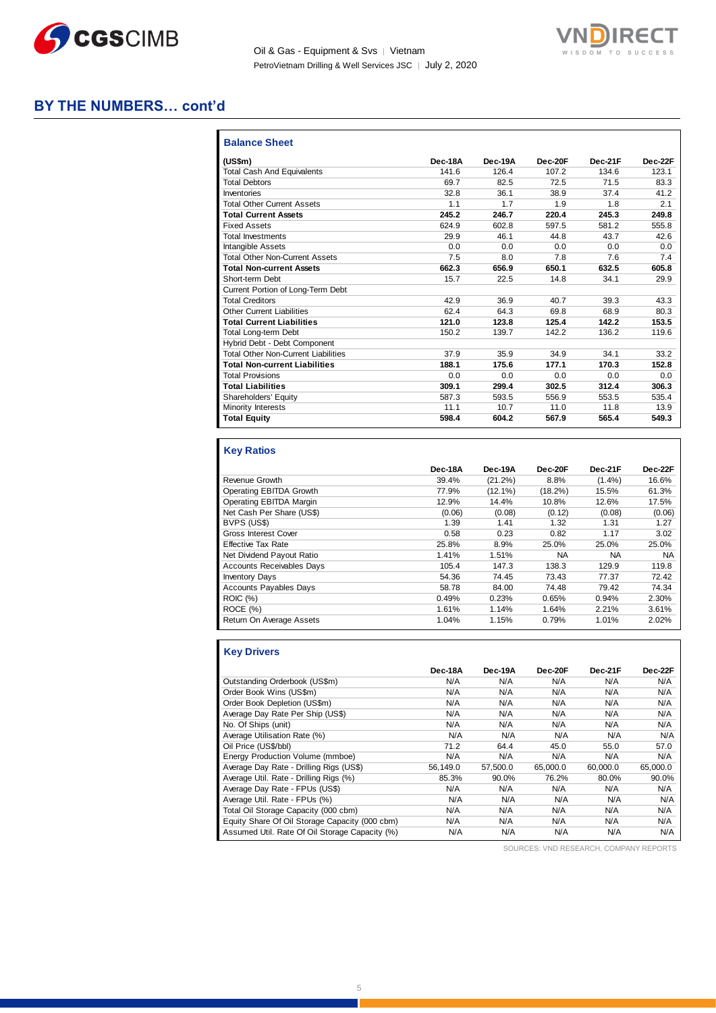

Oil & Gas - Equipment & Svs | Vietnam PetroVietnam Drilling & Well Services JSC | July 2, 2020



# **BY THE NUMBERS… cont'd**

| <b>Balance Sheet</b>                       |         |         |         |         |         |
|--------------------------------------------|---------|---------|---------|---------|---------|
| (US\$m)                                    | Dec-18A | Dec-19A | Dec-20F | Dec-21F | Dec-22F |
| <b>Total Cash And Equivalents</b>          | 141.6   | 126.4   | 107.2   | 134.6   | 123.1   |
| <b>Total Debtors</b>                       | 69.7    | 82.5    | 72.5    | 71.5    | 83.3    |
| Inventories                                | 32.8    | 36.1    | 38.9    | 37.4    | 41.2    |
| <b>Total Other Current Assets</b>          | 1.1     | 1.7     | 1.9     | 1.8     | 2.1     |
| <b>Total Current Assets</b>                | 245.2   | 246.7   | 220.4   | 245.3   | 249.8   |
| <b>Fixed Assets</b>                        | 624.9   | 602.8   | 597.5   | 581.2   | 555.8   |
| <b>Total Investments</b>                   | 29.9    | 46.1    | 44.8    | 43.7    | 42.6    |
| Intangible Assets                          | 0.0     | 0.0     | 0.0     | 0.0     | 0.0     |
| <b>Total Other Non-Current Assets</b>      | 7.5     | 8.0     | 7.8     | 7.6     | 7.4     |
| <b>Total Non-current Assets</b>            | 662.3   | 656.9   | 650.1   | 632.5   | 605.8   |
| Short-term Debt                            | 15.7    | 22.5    | 14.8    | 34.1    | 29.9    |
| Current Portion of Long-Term Debt          |         |         |         |         |         |
| <b>Total Creditors</b>                     | 42.9    | 36.9    | 40.7    | 39.3    | 43.3    |
| <b>Other Current Liabilities</b>           | 62.4    | 64.3    | 69.8    | 68.9    | 80.3    |
| <b>Total Current Liabilities</b>           | 121.0   | 123.8   | 125.4   | 142.2   | 153.5   |
| Total Long-term Debt                       | 150.2   | 139.7   | 142.2   | 136.2   | 119.6   |
| Hybrid Debt - Debt Component               |         |         |         |         |         |
| <b>Total Other Non-Current Liabilities</b> | 37.9    | 35.9    | 34.9    | 34.1    | 33.2    |
| <b>Total Non-current Liabilities</b>       | 188.1   | 175.6   | 177.1   | 170.3   | 152.8   |
| <b>Total Provisions</b>                    | 0.0     | 0.0     | 0.0     | 0.0     | 0.0     |
| <b>Total Liabilities</b>                   | 309.1   | 299.4   | 302.5   | 312.4   | 306.3   |
| Shareholders' Equity                       | 587.3   | 593.5   | 556.9   | 553.5   | 535.4   |
| Minority Interests                         | 11.1    | 10.7    | 11.0    | 11.8    | 13.9    |
| <b>Total Equity</b>                        | 598.4   | 604.2   | 567.9   | 565.4   | 549.3   |

# **Key Ratios**

|                                  | Dec-18A | Dec-19A    | Dec-20F    | Dec-21F   | Dec-22F   |
|----------------------------------|---------|------------|------------|-----------|-----------|
| Revenue Growth                   | 39.4%   | $(21.2\%)$ | 8.8%       | $(1.4\%)$ | 16.6%     |
| Operating EBITDA Growth          | 77.9%   | $(12.1\%)$ | $(18.2\%)$ | 15.5%     | 61.3%     |
| Operating EBITDA Margin          | 12.9%   | 14.4%      | 10.8%      | 12.6%     | 17.5%     |
| Net Cash Per Share (US\$)        | (0.06)  | (0.08)     | (0.12)     | (0.08)    | (0.06)    |
| BVPS (US\$)                      | 1.39    | 1.41       | 1.32       | 1.31      | 1.27      |
| <b>Gross Interest Cover</b>      | 0.58    | 0.23       | 0.82       | 1.17      | 3.02      |
| <b>Effective Tax Rate</b>        | 25.8%   | 8.9%       | 25.0%      | 25.0%     | 25.0%     |
| Net Dividend Payout Ratio        | 1.41%   | 1.51%      | <b>NA</b>  | NA.       | <b>NA</b> |
| <b>Accounts Receivables Days</b> | 105.4   | 147.3      | 138.3      | 129.9     | 119.8     |
| <b>Inventory Days</b>            | 54.36   | 74.45      | 73.43      | 77.37     | 72.42     |
| <b>Accounts Payables Days</b>    | 58.78   | 84.00      | 74.48      | 79.42     | 74.34     |
| <b>ROIC (%)</b>                  | 0.49%   | 0.23%      | 0.65%      | 0.94%     | 2.30%     |
| ROCE(%)                          | 1.61%   | 1.14%      | 1.64%      | 2.21%     | 3.61%     |
| Return On Average Assets         | 1.04%   | 1.15%      | 0.79%      | 1.01%     | 2.02%     |

| <b>Key Drivers</b>                             |          |          |          |          |          |
|------------------------------------------------|----------|----------|----------|----------|----------|
|                                                | Dec-18A  | Dec-19A  | Dec-20F  | Dec-21F  | Dec-22F  |
| Outstanding Orderbook (US\$m)                  | N/A      | N/A      | N/A      | N/A      | N/A      |
| Order Book Wins (US\$m)                        | N/A      | N/A      | N/A      | N/A      | N/A      |
| Order Book Depletion (US\$m)                   | N/A      | N/A      | N/A      | N/A      | N/A      |
| Average Day Rate Per Ship (US\$)               | N/A      | N/A      | N/A      | N/A      | N/A      |
| No. Of Ships (unit)                            | N/A      | N/A      | N/A      | N/A      | N/A      |
| Average Utilisation Rate (%)                   | N/A      | N/A      | N/A      | N/A      | N/A      |
| Oil Price (US\$/bbl)                           | 71.2     | 64.4     | 45.0     | 55.0     | 57.0     |
| Energy Production Volume (mmboe)               | N/A      | N/A      | N/A      | N/A      | N/A      |
| Average Day Rate - Drilling Rigs (US\$)        | 56.149.0 | 57.500.0 | 65.000.0 | 60.000.0 | 65,000.0 |
| Average Util. Rate - Drilling Rigs (%)         | 85.3%    | 90.0%    | 76.2%    | 80.0%    | 90.0%    |
| Average Day Rate - FPUs (US\$)                 | N/A      | N/A      | N/A      | N/A      | N/A      |
| Average Util. Rate - FPUs (%)                  | N/A      | N/A      | N/A      | N/A      | N/A      |
| Total Oil Storage Capacity (000 cbm)           | N/A      | N/A      | N/A      | N/A      | N/A      |
| Equity Share Of Oil Storage Capacity (000 cbm) | N/A      | N/A      | N/A      | N/A      | N/A      |
| Assumed Util. Rate Of Oil Storage Capacity (%) | N/A      | N/A      | N/A      | N/A      | N/A      |

SOURCES: VND RESEARCH, COMPANY REPORTS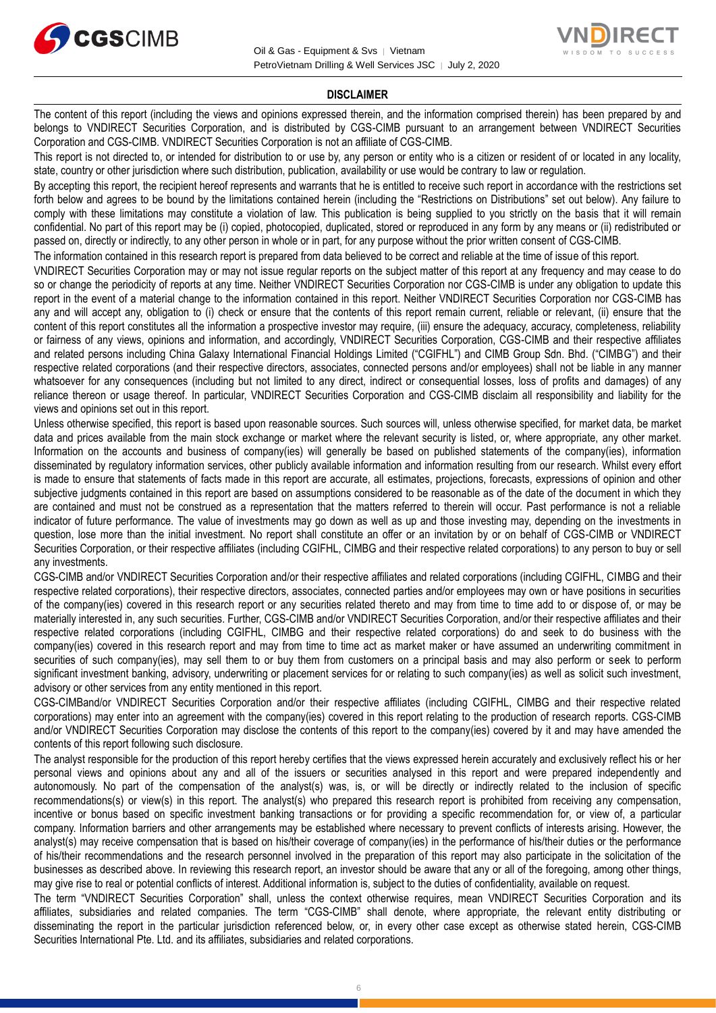



#### **DISCLAIMER**

The content of this report (including the views and opinions expressed therein, and the information comprised therein) has been prepared by and belongs to VNDIRECT Securities Corporation, and is distributed by CGS-CIMB pursuant to an arrangement between VNDIRECT Securities Corporation and CGS-CIMB. VNDIRECT Securities Corporation is not an affiliate of CGS-CIMB.

This report is not directed to, or intended for distribution to or use by, any person or entity who is a citizen or resident of or located in any locality, state, country or other jurisdiction where such distribution, publication, availability or use would be contrary to law or regulation.

By accepting this report, the recipient hereof represents and warrants that he is entitled to receive such report in accordance with the restrictions set forth below and agrees to be bound by the limitations contained herein (including the "Restrictions on Distributions" set out below). Any failure to comply with these limitations may constitute a violation of law. This publication is being supplied to you strictly on the basis that it will remain confidential. No part of this report may be (i) copied, photocopied, duplicated, stored or reproduced in any form by any means or (ii) redistributed or passed on, directly or indirectly, to any other person in whole or in part, for any purpose without the prior written consent of CGS-CIMB.

The information contained in this research report is prepared from data believed to be correct and reliable at the time of issue of this report.

VNDIRECT Securities Corporation may or may not issue regular reports on the subject matter of this report at any frequency and may cease to do so or change the periodicity of reports at any time. Neither VNDIRECT Securities Corporation nor CGS-CIMB is under any obligation to update this report in the event of a material change to the information contained in this report. Neither VNDIRECT Securities Corporation nor CGS-CIMB has any and will accept any, obligation to (i) check or ensure that the contents of this report remain current, reliable or relevant, (ii) ensure that the content of this report constitutes all the information a prospective investor may require, (iii) ensure the adequacy, accuracy, completeness, reliability or fairness of any views, opinions and information, and accordingly, VNDIRECT Securities Corporation, CGS-CIMB and their respective affiliates and related persons including China Galaxy International Financial Holdings Limited ("CGIFHL") and CIMB Group Sdn. Bhd. ("CIMBG") and their respective related corporations (and their respective directors, associates, connected persons and/or employees) shall not be liable in any manner whatsoever for any consequences (including but not limited to any direct, indirect or consequential losses, loss of profits and damages) of any reliance thereon or usage thereof. In particular, VNDIRECT Securities Corporation and CGS-CIMB disclaim all responsibility and liability for the views and opinions set out in this report.

Unless otherwise specified, this report is based upon reasonable sources. Such sources will, unless otherwise specified, for market data, be market data and prices available from the main stock exchange or market where the relevant security is listed, or, where appropriate, any other market. Information on the accounts and business of company(ies) will generally be based on published statements of the company(ies), information disseminated by regulatory information services, other publicly available information and information resulting from our research. Whilst every effort is made to ensure that statements of facts made in this report are accurate, all estimates, projections, forecasts, expressions of opinion and other subjective judgments contained in this report are based on assumptions considered to be reasonable as of the date of the document in which they are contained and must not be construed as a representation that the matters referred to therein will occur. Past performance is not a reliable indicator of future performance. The value of investments may go down as well as up and those investing may, depending on the investments in question, lose more than the initial investment. No report shall constitute an offer or an invitation by or on behalf of CGS-CIMB or VNDIRECT Securities Corporation, or their respective affiliates (including CGIFHL, CIMBG and their respective related corporations) to any person to buy or sell any investments.

CGS-CIMB and/or VNDIRECT Securities Corporation and/or their respective affiliates and related corporations (including CGIFHL, CIMBG and their respective related corporations), their respective directors, associates, connected parties and/or employees may own or have positions in securities of the company(ies) covered in this research report or any securities related thereto and may from time to time add to or dispose of, or may be materially interested in, any such securities. Further, CGS-CIMB and/or VNDIRECT Securities Corporation, and/or their respective affiliates and their respective related corporations (including CGIFHL, CIMBG and their respective related corporations) do and seek to do business with the company(ies) covered in this research report and may from time to time act as market maker or have assumed an underwriting commitment in securities of such company(ies), may sell them to or buy them from customers on a principal basis and may also perform or seek to perform significant investment banking, advisory, underwriting or placement services for or relating to such company(ies) as well as solicit such investment, advisory or other services from any entity mentioned in this report.

CGS-CIMBand/or VNDIRECT Securities Corporation and/or their respective affiliates (including CGIFHL, CIMBG and their respective related corporations) may enter into an agreement with the company(ies) covered in this report relating to the production of research reports. CGS-CIMB and/or VNDIRECT Securities Corporation may disclose the contents of this report to the company(ies) covered by it and may have amended the contents of this report following such disclosure.

The analyst responsible for the production of this report hereby certifies that the views expressed herein accurately and exclusively reflect his or her personal views and opinions about any and all of the issuers or securities analysed in this report and were prepared independently and autonomously. No part of the compensation of the analyst(s) was, is, or will be directly or indirectly related to the inclusion of specific recommendations(s) or view(s) in this report. The analyst(s) who prepared this research report is prohibited from receiving any compensation, incentive or bonus based on specific investment banking transactions or for providing a specific recommendation for, or view of, a particular company. Information barriers and other arrangements may be established where necessary to prevent conflicts of interests arising. However, the analyst(s) may receive compensation that is based on his/their coverage of company(ies) in the performance of his/their duties or the performance of his/their recommendations and the research personnel involved in the preparation of this report may also participate in the solicitation of the businesses as described above. In reviewing this research report, an investor should be aware that any or all of the foregoing, among other things, may give rise to real or potential conflicts of interest. Additional information is, subject to the duties of confidentiality, available on request.

The term "VNDIRECT Securities Corporation" shall, unless the context otherwise requires, mean VNDIRECT Securities Corporation and its affiliates, subsidiaries and related companies. The term "CGS-CIMB" shall denote, where appropriate, the relevant entity distributing or disseminating the report in the particular jurisdiction referenced below, or, in every other case except as otherwise stated herein, CGS-CIMB Securities International Pte. Ltd. and its affiliates, subsidiaries and related corporations.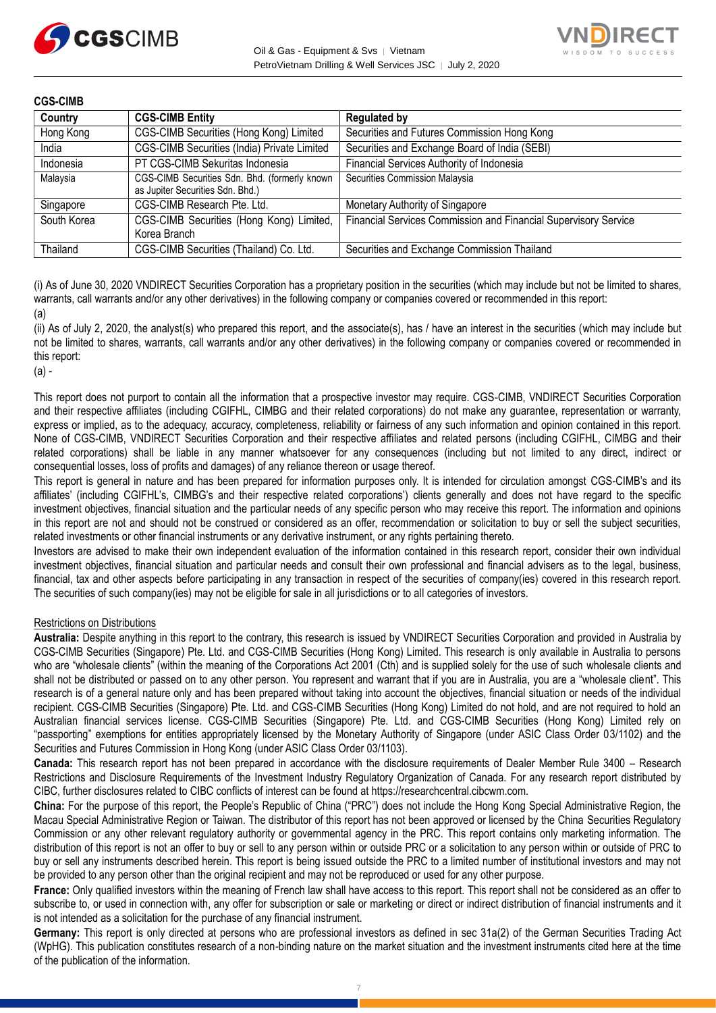



| <b>CGS-CIMB</b> |                                                                                   |                                                                 |
|-----------------|-----------------------------------------------------------------------------------|-----------------------------------------------------------------|
| Country         | <b>CGS-CIMB Entity</b>                                                            | <b>Regulated by</b>                                             |
| Hong Kong       | CGS-CIMB Securities (Hong Kong) Limited                                           | Securities and Futures Commission Hong Kong                     |
| India           | CGS-CIMB Securities (India) Private Limited                                       | Securities and Exchange Board of India (SEBI)                   |
| Indonesia       | PT CGS-CIMB Sekuritas Indonesia                                                   | Financial Services Authority of Indonesia                       |
| Malaysia        | CGS-CIMB Securities Sdn. Bhd. (formerly known<br>as Jupiter Securities Sdn. Bhd.) | Securities Commission Malaysia                                  |
| Singapore       | CGS-CIMB Research Pte. Ltd.                                                       | Monetary Authority of Singapore                                 |
| South Korea     | CGS-CIMB Securities (Hong Kong) Limited,<br>Korea Branch                          | Financial Services Commission and Financial Supervisory Service |
| Thailand        | CGS-CIMB Securities (Thailand) Co. Ltd.                                           | Securities and Exchange Commission Thailand                     |

(i) As of June 30, 2020 VNDIRECT Securities Corporation has a proprietary position in the securities (which may include but not be limited to shares, warrants, call warrants and/or any other derivatives) in the following company or companies covered or recommended in this report: (a)

(ii) As of July 2, 2020, the analyst(s) who prepared this report, and the associate(s), has / have an interest in the securities (which may include but not be limited to shares, warrants, call warrants and/or any other derivatives) in the following company or companies covered or recommended in this report:

(a) -

This report does not purport to contain all the information that a prospective investor may require. CGS-CIMB, VNDIRECT Securities Corporation and their respective affiliates (including CGIFHL, CIMBG and their related corporations) do not make any guarantee, representation or warranty, express or implied, as to the adequacy, accuracy, completeness, reliability or fairness of any such information and opinion contained in this report. None of CGS-CIMB, VNDIRECT Securities Corporation and their respective affiliates and related persons (including CGIFHL, CIMBG and their related corporations) shall be liable in any manner whatsoever for any consequences (including but not limited to any direct, indirect or consequential losses, loss of profits and damages) of any reliance thereon or usage thereof.

This report is general in nature and has been prepared for information purposes only. It is intended for circulation amongst CGS-CIMB's and its affiliates' (including CGIFHL's, CIMBG's and their respective related corporations') clients generally and does not have regard to the specific investment objectives, financial situation and the particular needs of any specific person who may receive this report. The information and opinions in this report are not and should not be construed or considered as an offer, recommendation or solicitation to buy or sell the subject securities, related investments or other financial instruments or any derivative instrument, or any rights pertaining thereto.

Investors are advised to make their own independent evaluation of the information contained in this research report, consider their own individual investment objectives, financial situation and particular needs and consult their own professional and financial advisers as to the legal, business, financial, tax and other aspects before participating in any transaction in respect of the securities of company(ies) covered in this research report. The securities of such company(ies) may not be eligible for sale in all jurisdictions or to all categories of investors.

### Restrictions on Distributions

**Australia:** Despite anything in this report to the contrary, this research is issued by VNDIRECT Securities Corporation and provided in Australia by CGS-CIMB Securities (Singapore) Pte. Ltd. and CGS-CIMB Securities (Hong Kong) Limited. This research is only available in Australia to persons who are "wholesale clients" (within the meaning of the Corporations Act 2001 (Cth) and is supplied solely for the use of such wholesale clients and shall not be distributed or passed on to any other person. You represent and warrant that if you are in Australia, you are a "wholesale client". This research is of a general nature only and has been prepared without taking into account the objectives, financial situation or needs of the individual recipient. CGS-CIMB Securities (Singapore) Pte. Ltd. and CGS-CIMB Securities (Hong Kong) Limited do not hold, and are not required to hold an Australian financial services license. CGS-CIMB Securities (Singapore) Pte. Ltd. and CGS-CIMB Securities (Hong Kong) Limited rely on "passporting" exemptions for entities appropriately licensed by the Monetary Authority of Singapore (under ASIC Class Order 03/1102) and the Securities and Futures Commission in Hong Kong (under ASIC Class Order 03/1103).

**Canada:** This research report has not been prepared in accordance with the disclosure requirements of Dealer Member Rule 3400 – Research Restrictions and Disclosure Requirements of the Investment Industry Regulatory Organization of Canada. For any research report distributed by CIBC, further disclosures related to CIBC conflicts of interest can be found at https://researchcentral.cibcwm.com.

**China:** For the purpose of this report, the People's Republic of China ("PRC") does not include the Hong Kong Special Administrative Region, the Macau Special Administrative Region or Taiwan. The distributor of this report has not been approved or licensed by the China Securities Regulatory Commission or any other relevant regulatory authority or governmental agency in the PRC. This report contains only marketing information. The distribution of this report is not an offer to buy or sell to any person within or outside PRC or a solicitation to any person within or outside of PRC to buy or sell any instruments described herein. This report is being issued outside the PRC to a limited number of institutional investors and may not be provided to any person other than the original recipient and may not be reproduced or used for any other purpose.

**France:** Only qualified investors within the meaning of French law shall have access to this report. This report shall not be considered as an offer to subscribe to, or used in connection with, any offer for subscription or sale or marketing or direct or indirect distribution of financial instruments and it is not intended as a solicitation for the purchase of any financial instrument.

**Germany:** This report is only directed at persons who are professional investors as defined in sec 31a(2) of the German Securities Trading Act (WpHG). This publication constitutes research of a non-binding nature on the market situation and the investment instruments cited here at the time of the publication of the information.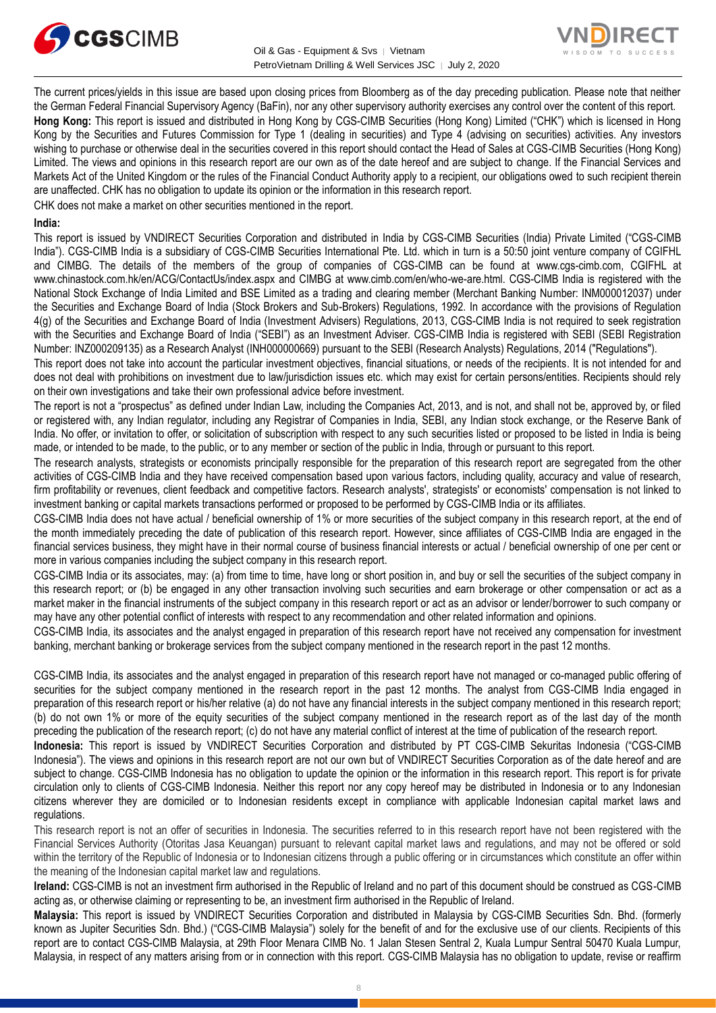



The current prices/yields in this issue are based upon closing prices from Bloomberg as of the day preceding publication. Please note that neither the German Federal Financial Supervisory Agency (BaFin), nor any other supervisory authority exercises any control over the content of this report. **Hong Kong:** This report is issued and distributed in Hong Kong by CGS-CIMB Securities (Hong Kong) Limited ("CHK") which is licensed in Hong Kong by the Securities and Futures Commission for Type 1 (dealing in securities) and Type 4 (advising on securities) activities. Any investors wishing to purchase or otherwise deal in the securities covered in this report should contact the Head of Sales at CGS-CIMB Securities (Hong Kong) Limited. The views and opinions in this research report are our own as of the date hereof and are subject to change. If the Financial Services and Markets Act of the United Kingdom or the rules of the Financial Conduct Authority apply to a recipient, our obligations owed to such recipient therein are unaffected. CHK has no obligation to update its opinion or the information in this research report.

CHK does not make a market on other securities mentioned in the report.

### **India:**

This report is issued by VNDIRECT Securities Corporation and distributed in India by CGS-CIMB Securities (India) Private Limited ("CGS-CIMB India"). CGS-CIMB India is a subsidiary of CGS-CIMB Securities International Pte. Ltd. which in turn is a 50:50 joint venture company of CGIFHL and CIMBG. The details of the members of the group of companies of CGS-CIMB can be found at www.cgs-cimb.com, CGIFHL at www.chinastock.com.hk/en/ACG/ContactUs/index.aspx and CIMBG at www.cimb.com/en/who-we-are.html. CGS-CIMB India is registered with the National Stock Exchange of India Limited and BSE Limited as a trading and clearing member (Merchant Banking Number: INM000012037) under the Securities and Exchange Board of India (Stock Brokers and Sub-Brokers) Regulations, 1992. In accordance with the provisions of Regulation 4(g) of the Securities and Exchange Board of India (Investment Advisers) Regulations, 2013, CGS-CIMB India is not required to seek registration with the Securities and Exchange Board of India ("SEBI") as an Investment Adviser. CGS-CIMB India is registered with SEBI (SEBI Registration Number: INZ000209135) as a Research Analyst (INH000000669) pursuant to the SEBI (Research Analysts) Regulations, 2014 ("Regulations").

This report does not take into account the particular investment objectives, financial situations, or needs of the recipients. It is not intended for and does not deal with prohibitions on investment due to law/jurisdiction issues etc. which may exist for certain persons/entities. Recipients should rely on their own investigations and take their own professional advice before investment.

The report is not a "prospectus" as defined under Indian Law, including the Companies Act, 2013, and is not, and shall not be, approved by, or filed or registered with, any Indian regulator, including any Registrar of Companies in India, SEBI, any Indian stock exchange, or the Reserve Bank of India. No offer, or invitation to offer, or solicitation of subscription with respect to any such securities listed or proposed to be listed in India is being made, or intended to be made, to the public, or to any member or section of the public in India, through or pursuant to this report.

The research analysts, strategists or economists principally responsible for the preparation of this research report are segregated from the other activities of CGS-CIMB India and they have received compensation based upon various factors, including quality, accuracy and value of research, firm profitability or revenues, client feedback and competitive factors. Research analysts', strategists' or economists' compensation is not linked to investment banking or capital markets transactions performed or proposed to be performed by CGS-CIMB India or its affiliates.

CGS-CIMB India does not have actual / beneficial ownership of 1% or more securities of the subject company in this research report, at the end of the month immediately preceding the date of publication of this research report. However, since affiliates of CGS-CIMB India are engaged in the financial services business, they might have in their normal course of business financial interests or actual / beneficial ownership of one per cent or more in various companies including the subject company in this research report.

CGS-CIMB India or its associates, may: (a) from time to time, have long or short position in, and buy or sell the securities of the subject company in this research report; or (b) be engaged in any other transaction involving such securities and earn brokerage or other compensation or act as a market maker in the financial instruments of the subject company in this research report or act as an advisor or lender/borrower to such company or may have any other potential conflict of interests with respect to any recommendation and other related information and opinions.

CGS-CIMB India, its associates and the analyst engaged in preparation of this research report have not received any compensation for investment banking, merchant banking or brokerage services from the subject company mentioned in the research report in the past 12 months.

CGS-CIMB India, its associates and the analyst engaged in preparation of this research report have not managed or co-managed public offering of securities for the subject company mentioned in the research report in the past 12 months. The analyst from CGS-CIMB India engaged in preparation of this research report or his/her relative (a) do not have any financial interests in the subject company mentioned in this research report; (b) do not own 1% or more of the equity securities of the subject company mentioned in the research report as of the last day of the month preceding the publication of the research report; (c) do not have any material conflict of interest at the time of publication of the research report.

**Indonesia:** This report is issued by VNDIRECT Securities Corporation and distributed by PT CGS-CIMB Sekuritas Indonesia ("CGS-CIMB Indonesia"). The views and opinions in this research report are not our own but of VNDIRECT Securities Corporation as of the date hereof and are subject to change. CGS-CIMB Indonesia has no obligation to update the opinion or the information in this research report. This report is for private circulation only to clients of CGS-CIMB Indonesia. Neither this report nor any copy hereof may be distributed in Indonesia or to any Indonesian citizens wherever they are domiciled or to Indonesian residents except in compliance with applicable Indonesian capital market laws and regulations.

This research report is not an offer of securities in Indonesia. The securities referred to in this research report have not been registered with the Financial Services Authority (Otoritas Jasa Keuangan) pursuant to relevant capital market laws and regulations, and may not be offered or sold within the territory of the Republic of Indonesia or to Indonesian citizens through a public offering or in circumstances which constitute an offer within the meaning of the Indonesian capital market law and regulations.

**Ireland:** CGS-CIMB is not an investment firm authorised in the Republic of Ireland and no part of this document should be construed as CGS-CIMB acting as, or otherwise claiming or representing to be, an investment firm authorised in the Republic of Ireland.

**Malaysia:** This report is issued by VNDIRECT Securities Corporation and distributed in Malaysia by CGS-CIMB Securities Sdn. Bhd. (formerly known as Jupiter Securities Sdn. Bhd.) ("CGS-CIMB Malaysia") solely for the benefit of and for the exclusive use of our clients. Recipients of this report are to contact CGS-CIMB Malaysia, at 29th Floor Menara CIMB No. 1 Jalan Stesen Sentral 2, Kuala Lumpur Sentral 50470 Kuala Lumpur, Malaysia, in respect of any matters arising from or in connection with this report. CGS-CIMB Malaysia has no obligation to update, revise or reaffirm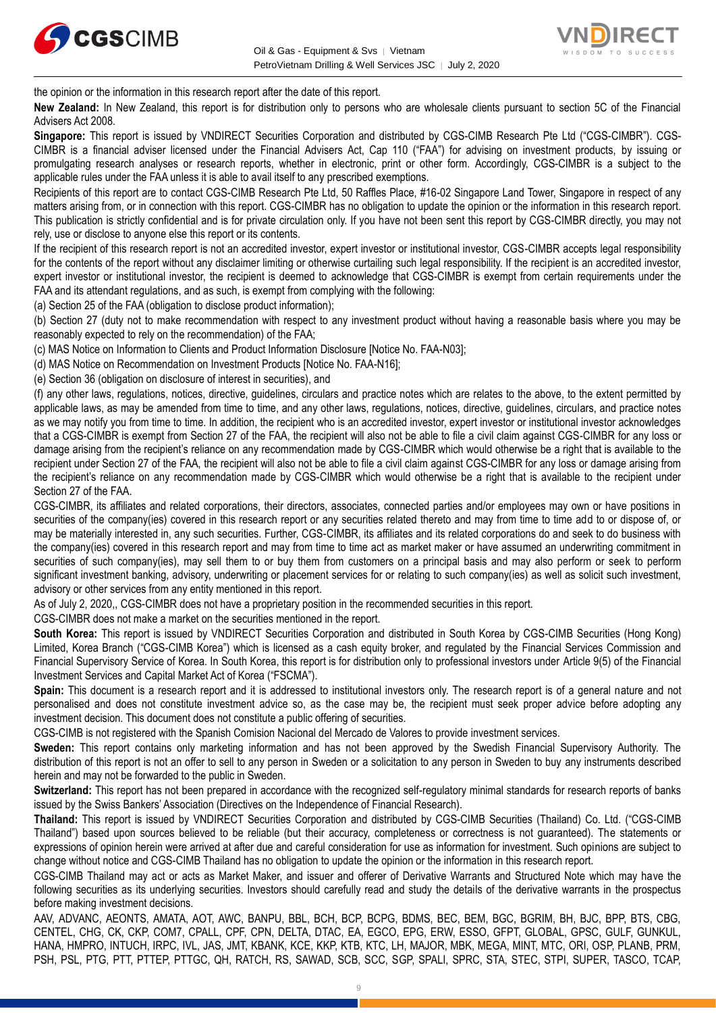



the opinion or the information in this research report after the date of this report.

**New Zealand:** In New Zealand, this report is for distribution only to persons who are wholesale clients pursuant to section 5C of the Financial Advisers Act 2008.

**Singapore:** This report is issued by VNDIRECT Securities Corporation and distributed by CGS-CIMB Research Pte Ltd ("CGS-CIMBR"). CGS-CIMBR is a financial adviser licensed under the Financial Advisers Act, Cap 110 ("FAA") for advising on investment products, by issuing or promulgating research analyses or research reports, whether in electronic, print or other form. Accordingly, CGS-CIMBR is a subject to the applicable rules under the FAA unless it is able to avail itself to any prescribed exemptions.

Recipients of this report are to contact CGS-CIMB Research Pte Ltd, 50 Raffles Place, #16-02 Singapore Land Tower, Singapore in respect of any matters arising from, or in connection with this report. CGS-CIMBR has no obligation to update the opinion or the information in this research report. This publication is strictly confidential and is for private circulation only. If you have not been sent this report by CGS-CIMBR directly, you may not rely, use or disclose to anyone else this report or its contents.

If the recipient of this research report is not an accredited investor, expert investor or institutional investor, CGS-CIMBR accepts legal responsibility for the contents of the report without any disclaimer limiting or otherwise curtailing such legal responsibility. If the recipient is an accredited investor, expert investor or institutional investor, the recipient is deemed to acknowledge that CGS-CIMBR is exempt from certain requirements under the FAA and its attendant regulations, and as such, is exempt from complying with the following:

(a) Section 25 of the FAA (obligation to disclose product information);

(b) Section 27 (duty not to make recommendation with respect to any investment product without having a reasonable basis where you may be reasonably expected to rely on the recommendation) of the FAA;

(c) MAS Notice on Information to Clients and Product Information Disclosure [Notice No. FAA-N03];

(d) MAS Notice on Recommendation on Investment Products [Notice No. FAA-N16];

(e) Section 36 (obligation on disclosure of interest in securities), and

(f) any other laws, regulations, notices, directive, guidelines, circulars and practice notes which are relates to the above, to the extent permitted by applicable laws, as may be amended from time to time, and any other laws, regulations, notices, directive, guidelines, circulars, and practice notes as we may notify you from time to time. In addition, the recipient who is an accredited investor, expert investor or institutional investor acknowledges that a CGS-CIMBR is exempt from Section 27 of the FAA, the recipient will also not be able to file a civil claim against CGS-CIMBR for any loss or damage arising from the recipient's reliance on any recommendation made by CGS-CIMBR which would otherwise be a right that is available to the recipient under Section 27 of the FAA, the recipient will also not be able to file a civil claim against CGS-CIMBR for any loss or damage arising from the recipient's reliance on any recommendation made by CGS-CIMBR which would otherwise be a right that is available to the recipient under Section 27 of the FAA.

CGS-CIMBR, its affiliates and related corporations, their directors, associates, connected parties and/or employees may own or have positions in securities of the company(ies) covered in this research report or any securities related thereto and may from time to time add to or dispose of, or may be materially interested in, any such securities. Further, CGS-CIMBR, its affiliates and its related corporations do and seek to do business with the company(ies) covered in this research report and may from time to time act as market maker or have assumed an underwriting commitment in securities of such company(ies), may sell them to or buy them from customers on a principal basis and may also perform or seek to perform significant investment banking, advisory, underwriting or placement services for or relating to such company(ies) as well as solicit such investment, advisory or other services from any entity mentioned in this report.

As of July 2, 2020,, CGS-CIMBR does not have a proprietary position in the recommended securities in this report.

CGS-CIMBR does not make a market on the securities mentioned in the report.

**South Korea:** This report is issued by VNDIRECT Securities Corporation and distributed in South Korea by CGS-CIMB Securities (Hong Kong) Limited, Korea Branch ("CGS-CIMB Korea") which is licensed as a cash equity broker, and regulated by the Financial Services Commission and Financial Supervisory Service of Korea. In South Korea, this report is for distribution only to professional investors under Article 9(5) of the Financial Investment Services and Capital Market Act of Korea ("FSCMA").

**Spain:** This document is a research report and it is addressed to institutional investors only. The research report is of a general nature and not personalised and does not constitute investment advice so, as the case may be, the recipient must seek proper advice before adopting any investment decision. This document does not constitute a public offering of securities.

CGS-CIMB is not registered with the Spanish Comision Nacional del Mercado de Valores to provide investment services.

**Sweden:** This report contains only marketing information and has not been approved by the Swedish Financial Supervisory Authority. The distribution of this report is not an offer to sell to any person in Sweden or a solicitation to any person in Sweden to buy any instruments described herein and may not be forwarded to the public in Sweden.

**Switzerland:** This report has not been prepared in accordance with the recognized self-regulatory minimal standards for research reports of banks issued by the Swiss Bankers' Association (Directives on the Independence of Financial Research).

**Thailand:** This report is issued by VNDIRECT Securities Corporation and distributed by CGS-CIMB Securities (Thailand) Co. Ltd. ("CGS-CIMB Thailand") based upon sources believed to be reliable (but their accuracy, completeness or correctness is not guaranteed). The statements or expressions of opinion herein were arrived at after due and careful consideration for use as information for investment. Such opinions are subject to change without notice and CGS-CIMB Thailand has no obligation to update the opinion or the information in this research report.

CGS-CIMB Thailand may act or acts as Market Maker, and issuer and offerer of Derivative Warrants and Structured Note which may have the following securities as its underlying securities. Investors should carefully read and study the details of the derivative warrants in the prospectus before making investment decisions.

AAV, ADVANC, AEONTS, AMATA, AOT, AWC, BANPU, BBL, BCH, BCP, BCPG, BDMS, BEC, BEM, BGC, BGRIM, BH, BJC, BPP, BTS, CBG, CENTEL, CHG, CK, CKP, COM7, CPALL, CPF, CPN, DELTA, DTAC, EA, EGCO, EPG, ERW, ESSO, GFPT, GLOBAL, GPSC, GULF, GUNKUL, HANA, HMPRO, INTUCH, IRPC, IVL, JAS, JMT, KBANK, KCE, KKP, KTB, KTC, LH, MAJOR, MBK, MEGA, MINT, MTC, ORI, OSP, PLANB, PRM, PSH, PSL, PTG, PTT, PTTEP, PTTGC, QH, RATCH, RS, SAWAD, SCB, SCC, SGP, SPALI, SPRC, STA, STEC, STPI, SUPER, TASCO, TCAP,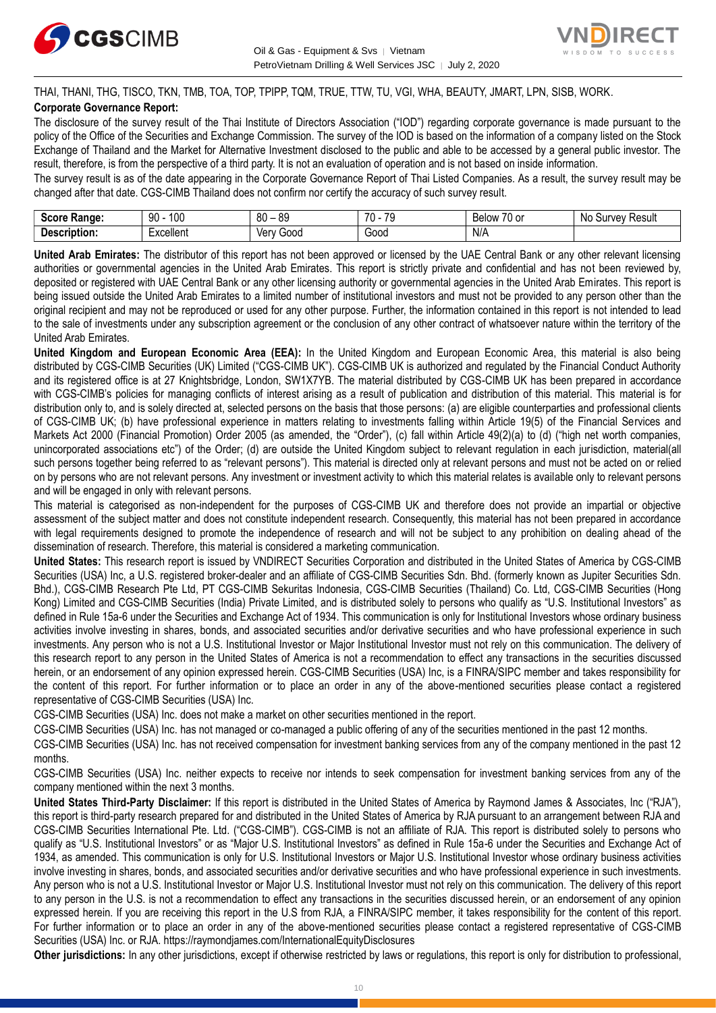



THAI, THANI, THG, TISCO, TKN, TMB, TOA, TOP, TPIPP, TQM, TRUE, TTW, TU, VGI, WHA, BEAUTY, JMART, LPN, SISB, WORK. **Corporate Governance Report:**

The disclosure of the survey result of the Thai Institute of Directors Association ("IOD") regarding corporate governance is made pursuant to the policy of the Office of the Securities and Exchange Commission. The survey of the IOD is based on the information of a company listed on the Stock Exchange of Thailand and the Market for Alternative Investment disclosed to the public and able to be accessed by a general public investor. The result, therefore, is from the perspective of a third party. It is not an evaluation of operation and is not based on inside information.

The survey result is as of the date appearing in the Corporate Governance Report of Thai Listed Companies. As a result, the survey result may be changed after that date. CGS-CIMB Thailand does not confirm nor certify the accuracy of such survey result.

| <b>Range:</b><br>Score     | م∩1<br>۵N<br>טע<br>ĴU | 89<br>80<br>$\overline{\phantom{a}}$ | 70<br>70<br>. . | $\overline{\phantom{a}}$<br>Below<br>$\sim$<br>. ט<br>v | : Result<br>N0<br>urve <sup>.</sup> |
|----------------------------|-----------------------|--------------------------------------|-----------------|---------------------------------------------------------|-------------------------------------|
| <b>Descrip</b><br>ription: | Lyonllont<br>∟∧∪∪แ∪เแ | 000خ<br>Verv                         | 000ن            | N/A                                                     |                                     |

**United Arab Emirates:** The distributor of this report has not been approved or licensed by the UAE Central Bank or any other relevant licensing authorities or governmental agencies in the United Arab Emirates. This report is strictly private and confidential and has not been reviewed by, deposited or registered with UAE Central Bank or any other licensing authority or governmental agencies in the United Arab Emirates. This report is being issued outside the United Arab Emirates to a limited number of institutional investors and must not be provided to any person other than the original recipient and may not be reproduced or used for any other purpose. Further, the information contained in this report is not intended to lead to the sale of investments under any subscription agreement or the conclusion of any other contract of whatsoever nature within the territory of the United Arab Emirates.

**United Kingdom and European Economic Area (EEA):** In the United Kingdom and European Economic Area, this material is also being distributed by CGS-CIMB Securities (UK) Limited ("CGS-CIMB UK"). CGS-CIMB UK is authorized and regulated by the Financial Conduct Authority and its registered office is at 27 Knightsbridge, London, SW1X7YB. The material distributed by CGS-CIMB UK has been prepared in accordance with CGS-CIMB's policies for managing conflicts of interest arising as a result of publication and distribution of this material. This material is for distribution only to, and is solely directed at, selected persons on the basis that those persons: (a) are eligible counterparties and professional clients of CGS-CIMB UK; (b) have professional experience in matters relating to investments falling within Article 19(5) of the Financial Services and Markets Act 2000 (Financial Promotion) Order 2005 (as amended, the "Order"), (c) fall within Article 49(2)(a) to (d) ("high net worth companies, unincorporated associations etc") of the Order; (d) are outside the United Kingdom subject to relevant regulation in each jurisdiction, material(all such persons together being referred to as "relevant persons"). This material is directed only at relevant persons and must not be acted on or relied on by persons who are not relevant persons. Any investment or investment activity to which this material relates is available only to relevant persons and will be engaged in only with relevant persons.

This material is categorised as non-independent for the purposes of CGS-CIMB UK and therefore does not provide an impartial or objective assessment of the subject matter and does not constitute independent research. Consequently, this material has not been prepared in accordance with legal requirements designed to promote the independence of research and will not be subject to any prohibition on dealing ahead of the dissemination of research. Therefore, this material is considered a marketing communication.

**United States:** This research report is issued by VNDIRECT Securities Corporation and distributed in the United States of America by CGS-CIMB Securities (USA) Inc, a U.S. registered broker-dealer and an affiliate of CGS-CIMB Securities Sdn. Bhd. (formerly known as Jupiter Securities Sdn. Bhd.), CGS-CIMB Research Pte Ltd, PT CGS-CIMB Sekuritas Indonesia, CGS-CIMB Securities (Thailand) Co. Ltd, CGS-CIMB Securities (Hong Kong) Limited and CGS-CIMB Securities (India) Private Limited, and is distributed solely to persons who qualify as "U.S. Institutional Investors" as defined in Rule 15a-6 under the Securities and Exchange Act of 1934. This communication is only for Institutional Investors whose ordinary business activities involve investing in shares, bonds, and associated securities and/or derivative securities and who have professional experience in such investments. Any person who is not a U.S. Institutional Investor or Major Institutional Investor must not rely on this communication. The delivery of this research report to any person in the United States of America is not a recommendation to effect any transactions in the securities discussed herein, or an endorsement of any opinion expressed herein. CGS-CIMB Securities (USA) Inc, is a FINRA/SIPC member and takes responsibility for the content of this report. For further information or to place an order in any of the above-mentioned securities please contact a registered representative of CGS-CIMB Securities (USA) Inc.

CGS-CIMB Securities (USA) Inc. does not make a market on other securities mentioned in the report.

CGS-CIMB Securities (USA) Inc. has not managed or co-managed a public offering of any of the securities mentioned in the past 12 months.

CGS-CIMB Securities (USA) Inc. has not received compensation for investment banking services from any of the company mentioned in the past 12 months.

CGS-CIMB Securities (USA) Inc. neither expects to receive nor intends to seek compensation for investment banking services from any of the company mentioned within the next 3 months.

**United States Third-Party Disclaimer:** If this report is distributed in the United States of America by Raymond James & Associates, Inc ("RJA"), this report is third-party research prepared for and distributed in the United States of America by RJA pursuant to an arrangement between RJA and CGS-CIMB Securities International Pte. Ltd. ("CGS-CIMB"). CGS-CIMB is not an affiliate of RJA. This report is distributed solely to persons who qualify as "U.S. Institutional Investors" or as "Major U.S. Institutional Investors" as defined in Rule 15a-6 under the Securities and Exchange Act of 1934, as amended. This communication is only for U.S. Institutional Investors or Major U.S. Institutional Investor whose ordinary business activities involve investing in shares, bonds, and associated securities and/or derivative securities and who have professional experience in such investments. Any person who is not a U.S. Institutional Investor or Major U.S. Institutional Investor must not rely on this communication. The delivery of this report to any person in the U.S. is not a recommendation to effect any transactions in the securities discussed herein, or an endorsement of any opinion expressed herein. If you are receiving this report in the U.S from RJA, a FINRA/SIPC member, it takes responsibility for the content of this report. For further information or to place an order in any of the above-mentioned securities please contact a registered representative of CGS-CIMB Securities (USA) Inc. or RJA. <https://raymondjames.com/InternationalEquityDisclosures>

**Other jurisdictions:** In any other jurisdictions, except if otherwise restricted by laws or regulations, this report is only for distribution to professional,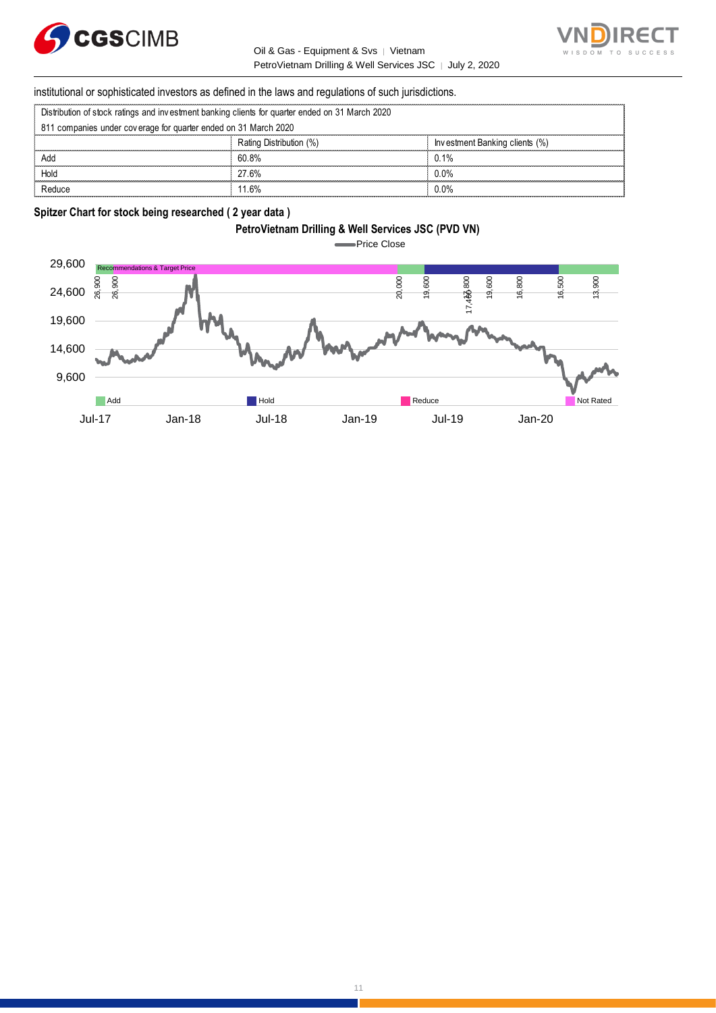

Oil & Gas - Equipment & Svs │ Vietnam PetroVietnam Drilling & Well Services JSC | July 2, 2020



institutional or sophisticated investors as defined in the laws and regulations of such jurisdictions. PetroVietnam Drilling & Well Ser<br>
Distribution of stock ratings and investment banking clients for quarter ended on 31 March 2020<br>
Pat a companies under on argue for quarter ended on 31 March 2020<br>
Pat a companies under on

| institutional or sophisticated investors as defined in the laws and regulations of such jurisdictions. |                         |                                |  |
|--------------------------------------------------------------------------------------------------------|-------------------------|--------------------------------|--|
| Distribution of stock ratings and investment banking clients for quarter ended on 31 March 2020        |                         |                                |  |
| 811 companies under coverage for quarter ended on 31 March 2020                                        |                         |                                |  |
|                                                                                                        | Rating Distribution (%) | Investment Banking clients (%) |  |
| Add                                                                                                    | 60.8%                   | 0.1%                           |  |
| Hold                                                                                                   | 27.6%                   | $0.0\%$                        |  |
| Reduce                                                                                                 | 11 6%                   | በ በ%                           |  |

### **Spitzer Chart for stock being researched ( 2 year data )**

# **PetroVietnam Drilling & Well Services JSC (PVD VN)**

**-Price Close** 

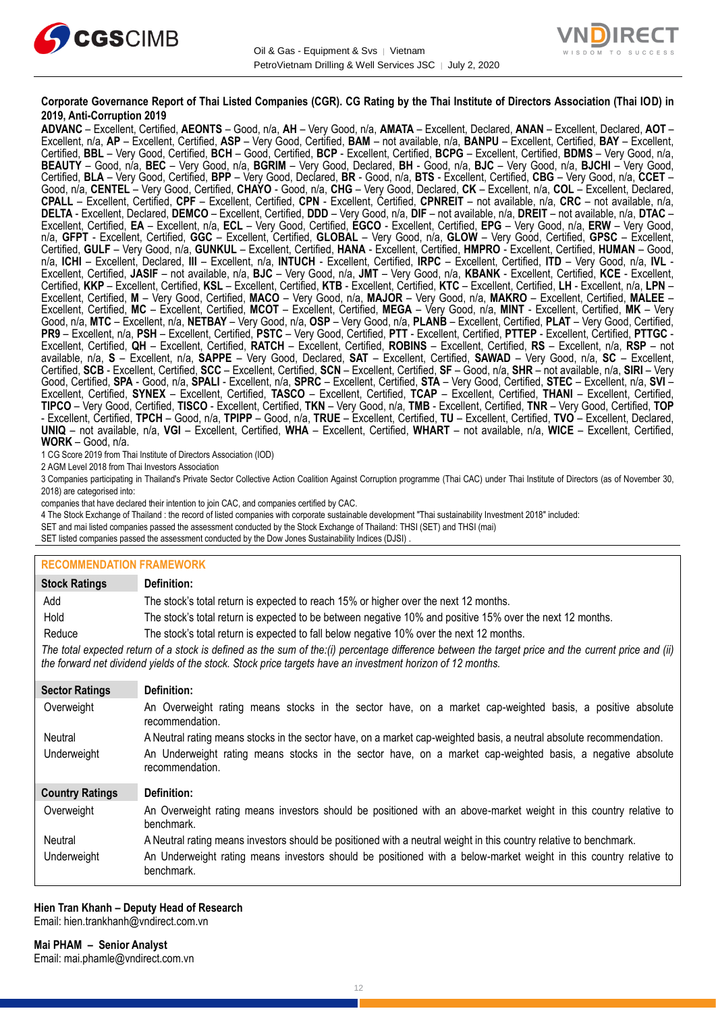



### **Corporate Governance Report of Thai Listed Companies (CGR). CG Rating by the Thai Institute of Directors Association (Thai IOD) in 2019, Anti-Corruption 2019**

**ADVANC** – Excellent, Certified, **AEONTS** – Good, n/a, **AH** – Very Good, n/a, **AMATA** – Excellent, Declared, **ANAN** – Excellent, Declared, **AOT** – Excellent, n/a, **AP** – Excellent, Certified, **ASP** – Very Good, Certified, **BAM** – not available, n/a, **BANPU** – Excellent, Certified, **BAY** – Excellent, Certified, **BBL** – Very Good, Certified, **BCH** – Good, Certified, **BCP** - Excellent, Certified, **BCPG** – Excellent, Certified, **BDMS** – Very Good, n/a, **BEAUTY** – Good, n/a, **BEC** – Very Good, n/a, **BGRIM** – Very Good, Declared, **BH** - Good, n/a, **BJC** – Very Good, n/a, **BJCHI** – Very Good, Certified, **BLA** – Very Good, Certified, **BPP** – Very Good, Declared, **BR** - Good, n/a, **BTS** - Excellent, Certified, **CBG** – Very Good, n/a, **CCET** – Good, n/a, **CENTEL** – Very Good, Certified, **CHAYO** - Good, n/a, **CHG** – Very Good, Declared, **CK** – Excellent, n/a, **COL** – Excellent, Declared, **CPALL** – Excellent, Certified, **CPF** – Excellent, Certified, **CPN** - Excellent, Certified, **CPNREIT** – not available, n/a, **CRC** – not available, n/a, **DELTA** - Excellent, Declared, **DEMCO** – Excellent, Certified, **DDD** – Very Good, n/a, **DIF** – not available, n/a, **DREIT** – not available, n/a, **DTAC** – Excellent, Certified, **EA** – Excellent, n/a, **ECL** – Very Good, Certified, **EGCO** - Excellent, Certified, **EPG** – Very Good, n/a, **ERW** – Very Good, n/a, **GFPT** - Excellent, Certified, **GGC** – Excellent, Certified, **GLOBAL** – Very Good, n/a, **GLOW** – Very Good, Certified, **GPSC** – Excellent, Certified, **GULF** – Very Good, n/a, **GUNKUL** – Excellent, Certified, **HANA** - Excellent, Certified, **HMPRO** - Excellent, Certified, **HUMAN** – Good, n/a, **ICHI** – Excellent, Declared, **III** – Excellent, n/a, **INTUCH** - Excellent, Certified, **IRPC** – Excellent, Certified, **ITD** – Very Good, n/a, **IVL** - Excellent, Certified, **JASIF** – not available, n/a, **BJC** – Very Good, n/a, **JMT** – Very Good, n/a, **KBANK** - Excellent, Certified, **KCE** - Excellent, Certified, **KKP** – Excellent, Certified, **KSL** – Excellent, Certified, **KTB** - Excellent, Certified, **KTC** – Excellent, Certified, **LH** - Excellent, n/a, **LPN** – Excellent, Certified, **M** – Very Good, Certified, **MACO** – Very Good, n/a, **MAJOR** – Very Good, n/a, **MAKRO** – Excellent, Certified, **MALEE** – Excellent, Certified, **MC** – Excellent, Certified, **MCOT** – Excellent, Certified, **MEGA** – Very Good, n/a, **MINT** - Excellent, Certified, **MK** – Very Good, n/a, **MTC** – Excellent, n/a, **NETBAY** – Very Good, n/a, **OSP** – Very Good, n/a, **PLANB** – Excellent, Certified, **PLAT** – Very Good, Certified, **PR9** – Excellent, n/a, **PSH** – Excellent, Certified, **PSTC** – Very Good, Certified, **PTT** - Excellent, Certified, **PTTEP** - Excellent, Certified, **PTTGC** - Excellent, Certified, **QH** – Excellent, Certified, **RATCH** – Excellent, Certified, **ROBINS** – Excellent, Certified, **RS** – Excellent, n/a, **RSP** – not available, n/a, **S** – Excellent, n/a, **SAPPE** – Very Good, Declared, **SAT** – Excellent, Certified, **SAWAD** – Very Good, n/a, **SC** – Excellent, Certified, **SCB** - Excellent, Certified, **SCC** – Excellent, Certified, **SCN** – Excellent, Certified, **SF** – Good, n/a, **SHR** – not available, n/a, **SIRI** – Very Good, Certified, **SPA** - Good, n/a, **SPALI** - Excellent, n/a, **SPRC** – Excellent, Certified, **STA** – Very Good, Certified, **STEC** – Excellent, n/a, **SVI** – Excellent, Certified, **SYNEX** – Excellent, Certified, **TASCO** – Excellent, Certified, **TCAP** – Excellent, Certified, **THANI** – Excellent, Certified, **TIPCO** – Very Good, Certified, **TISCO** - Excellent, Certified, **TKN** – Very Good, n/a, **TMB** - Excellent, Certified, **TNR** – Very Good, Certified, **TOP** - Excellent, Certified, **TPCH** – Good, n/a, **TPIPP** – Good, n/a, **TRUE** – Excellent, Certified, **TU** – Excellent, Certified, **TVO** – Excellent, Declared, **UNIQ** – not available, n/a, **VGI** – Excellent, Certified, **WHA** – Excellent, Certified, **WHART** – not available, n/a, **WICE** – Excellent, Certified, **WORK** – Good, n/a.

1 CG Score 2019 from Thai Institute of Directors Association (IOD)

2 AGM Level 2018 from Thai Investors Association

3 Companies participating in Thailand's Private Sector Collective Action Coalition Against Corruption programme (Thai CAC) under Thai Institute of Directors (as of November 30, 2018) are categorised into:

companies that have declared their intention to join CAC, and companies certified by CAC.

4 [The Stock Exchange of Thailand : the record of listed companies with corporate sustainable development "Thai sustainability Investment 2018" included:](http://www.set.or.th/sustainable_dev/en/sr/sri/tsi_p1.html)

SET and mai listed companies passed the assessment conducted by the Stock Exchange of Thailand: THSI (SET) and THSI (mai)

SET listed companies passed the assessment conducted by the Dow Jones Sustainability Indices (DJSI)

### **RECOMMENDATION FRAMEWORK**

| <b>Stock Ratings</b>   | Definition:                                                                                                                                                                                                                                                       |
|------------------------|-------------------------------------------------------------------------------------------------------------------------------------------------------------------------------------------------------------------------------------------------------------------|
| Add                    | The stock's total return is expected to reach 15% or higher over the next 12 months.                                                                                                                                                                              |
| Hold                   | The stock's total return is expected to be between negative 10% and positive 15% over the next 12 months.                                                                                                                                                         |
| Reduce                 | The stock's total return is expected to fall below negative 10% over the next 12 months.                                                                                                                                                                          |
|                        | The total expected return of a stock is defined as the sum of the:(i) percentage difference between the target price and the current price and (ii)<br>the forward net dividend yields of the stock. Stock price targets have an investment horizon of 12 months. |
| <b>Sector Ratings</b>  | Definition:                                                                                                                                                                                                                                                       |
| Overweight             | An Overweight rating means stocks in the sector have, on a market cap-weighted basis, a positive absolute<br>recommendation.                                                                                                                                      |
| Neutral                | A Neutral rating means stocks in the sector have, on a market cap-weighted basis, a neutral absolute recommendation.                                                                                                                                              |
| Underweight            | An Underweight rating means stocks in the sector have, on a market cap-weighted basis, a negative absolute<br>recommendation.                                                                                                                                     |
| <b>Country Ratings</b> | Definition:                                                                                                                                                                                                                                                       |
| Overweight             | An Overweight rating means investors should be positioned with an above-market weight in this country relative to<br>benchmark.                                                                                                                                   |
| Neutral                | A Neutral rating means investors should be positioned with a neutral weight in this country relative to benchmark.                                                                                                                                                |
| Underweight            | An Underweight rating means investors should be positioned with a below-market weight in this country relative to<br>benchmark.                                                                                                                                   |

#### **Hien Tran Khanh – Deputy Head of Research** Email: [hien.trankhanh@vndirect.com.vn](mailto:hien.trankhanh@vndirect.com.vn)

**Mai PHAM – Senior Analyst** Email: [mai.phamle@vndirect.com.vn](mailto:mai.phamle@vndirect.com.vn)